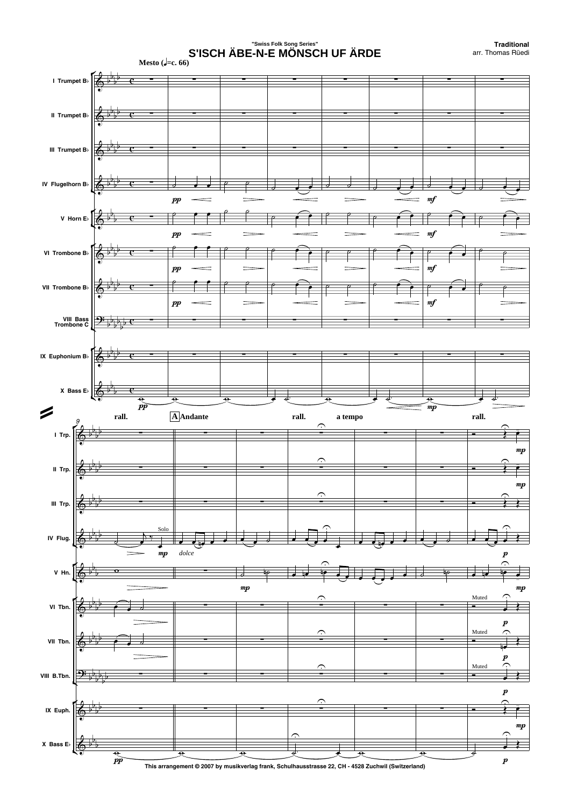## **"Swiss Folk Song Series" S'ISCH ÄBE-N-E MÖNSCH UF ÄRDE**

**Traditional** arr. Thomas Rüedi

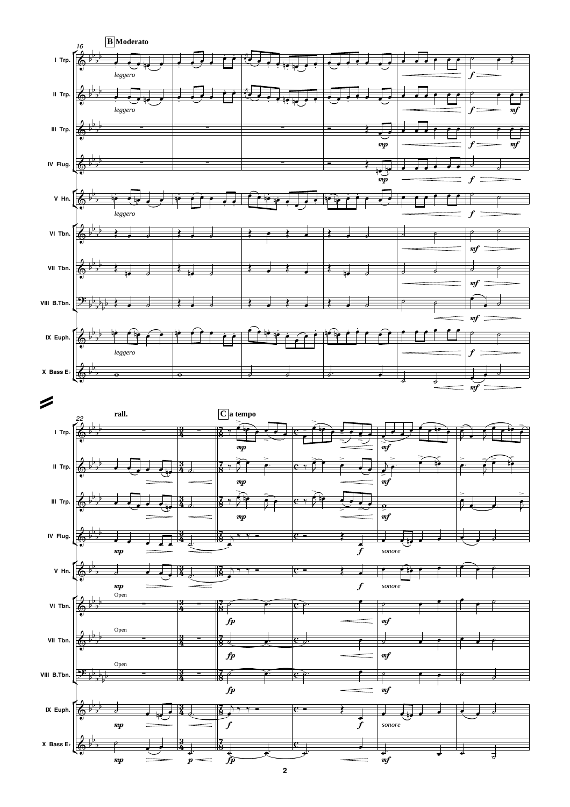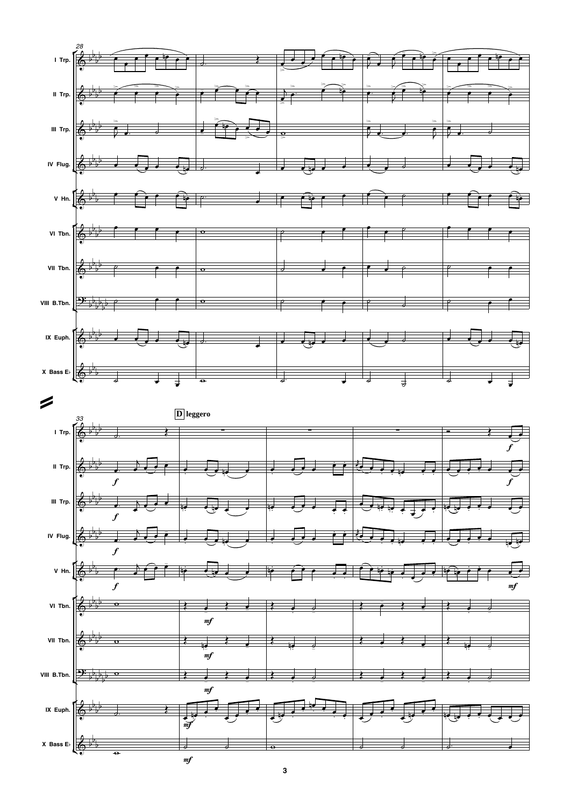